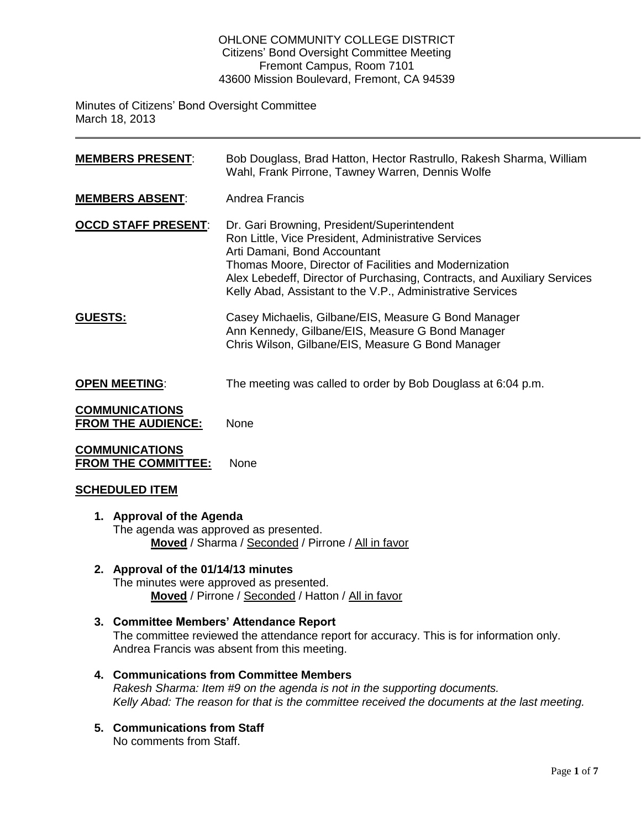### OHLONE COMMUNITY COLLEGE DISTRICT Citizens' Bond Oversight Committee Meeting Fremont Campus, Room 7101 43600 Mission Boulevard, Fremont, CA 94539

Minutes of Citizens' Bond Oversight Committee March 18, 2013

| <b>MEMBERS PRESENT:</b>                            | Bob Douglass, Brad Hatton, Hector Rastrullo, Rakesh Sharma, William<br>Wahl, Frank Pirrone, Tawney Warren, Dennis Wolfe                                                                                                                                                                                                                |
|----------------------------------------------------|----------------------------------------------------------------------------------------------------------------------------------------------------------------------------------------------------------------------------------------------------------------------------------------------------------------------------------------|
| <b>MEMBERS ABSENT:</b>                             | Andrea Francis                                                                                                                                                                                                                                                                                                                         |
| <b>OCCD STAFF PRESENT:</b>                         | Dr. Gari Browning, President/Superintendent<br>Ron Little, Vice President, Administrative Services<br>Arti Damani, Bond Accountant<br>Thomas Moore, Director of Facilities and Modernization<br>Alex Lebedeff, Director of Purchasing, Contracts, and Auxiliary Services<br>Kelly Abad, Assistant to the V.P., Administrative Services |
| <b>GUESTS:</b>                                     | Casey Michaelis, Gilbane/EIS, Measure G Bond Manager<br>Ann Kennedy, Gilbane/EIS, Measure G Bond Manager<br>Chris Wilson, Gilbane/EIS, Measure G Bond Manager                                                                                                                                                                          |
| <b>OPEN MEETING:</b>                               | The meeting was called to order by Bob Douglass at 6:04 p.m.                                                                                                                                                                                                                                                                           |
| <b>COMMUNICATIONS</b><br><b>FROM THE AUDIENCE:</b> | None                                                                                                                                                                                                                                                                                                                                   |

**COMMUNICATIONS FROM THE COMMITTEE:** None

# **SCHEDULED ITEM**

- **1. Approval of the Agenda** The agenda was approved as presented. **Moved** / Sharma / Seconded / Pirrone / All in favor
- **2. Approval of the 01/14/13 minutes** The minutes were approved as presented. **Moved** / Pirrone / Seconded / Hatton / All in favor
- **3. Committee Members' Attendance Report** The committee reviewed the attendance report for accuracy. This is for information only. Andrea Francis was absent from this meeting.
- **4. Communications from Committee Members** *Rakesh Sharma: Item #9 on the agenda is not in the supporting documents. Kelly Abad: The reason for that is the committee received the documents at the last meeting.*
- **5. Communications from Staff** No comments from Staff.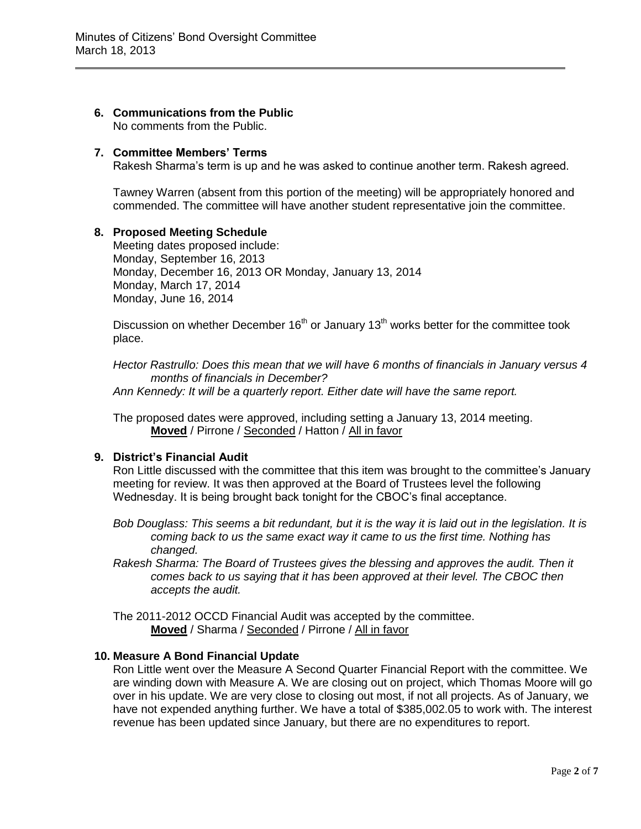#### **6. Communications from the Public** No comments from the Public.

### **7. Committee Members' Terms**

Rakesh Sharma's term is up and he was asked to continue another term. Rakesh agreed.

Tawney Warren (absent from this portion of the meeting) will be appropriately honored and commended. The committee will have another student representative join the committee.

## **8. Proposed Meeting Schedule**

Meeting dates proposed include: Monday, September 16, 2013 Monday, December 16, 2013 OR Monday, January 13, 2014 Monday, March 17, 2014 Monday, June 16, 2014

Discussion on whether December  $16<sup>th</sup>$  or January  $13<sup>th</sup>$  works better for the committee took place.

*Hector Rastrullo: Does this mean that we will have 6 months of financials in January versus 4 months of financials in December?* 

*Ann Kennedy: It will be a quarterly report. Either date will have the same report.* 

The proposed dates were approved, including setting a January 13, 2014 meeting. **Moved** / Pirrone / Seconded / Hatton / All in favor

# **9. District's Financial Audit**

Ron Little discussed with the committee that this item was brought to the committee's January meeting for review. It was then approved at the Board of Trustees level the following Wednesday. It is being brought back tonight for the CBOC's final acceptance.

*Bob Douglass: This seems a bit redundant, but it is the way it is laid out in the legislation. It is coming back to us the same exact way it came to us the first time. Nothing has changed.*

*Rakesh Sharma: The Board of Trustees gives the blessing and approves the audit. Then it comes back to us saying that it has been approved at their level. The CBOC then accepts the audit.* 

The 2011-2012 OCCD Financial Audit was accepted by the committee. **Moved** / Sharma / Seconded / Pirrone / All in favor

## **10. Measure A Bond Financial Update**

Ron Little went over the Measure A Second Quarter Financial Report with the committee. We are winding down with Measure A. We are closing out on project, which Thomas Moore will go over in his update. We are very close to closing out most, if not all projects. As of January, we have not expended anything further. We have a total of \$385,002.05 to work with. The interest revenue has been updated since January, but there are no expenditures to report.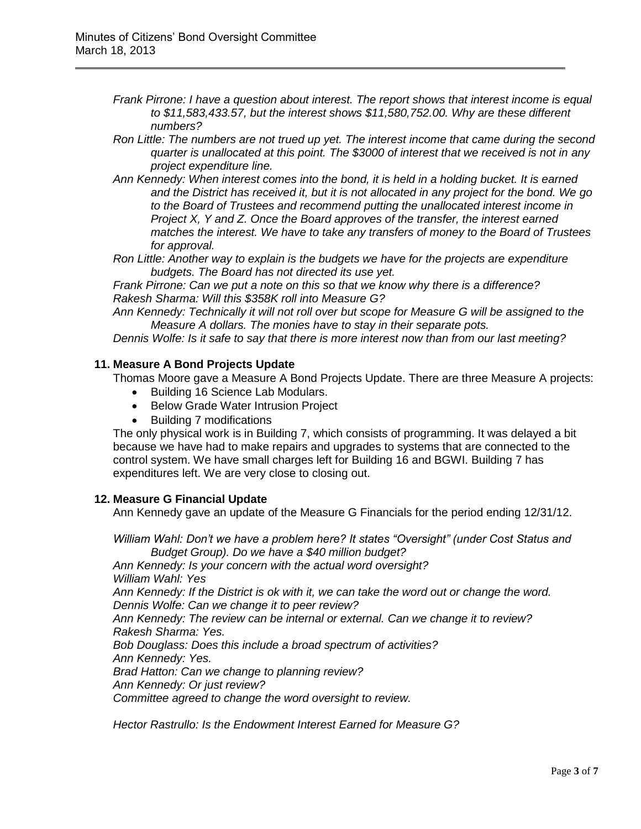- *Frank Pirrone: I have a question about interest. The report shows that interest income is equal to \$11,583,433.57, but the interest shows \$11,580,752.00. Why are these different numbers?*
- *Ron Little: The numbers are not trued up yet. The interest income that came during the second quarter is unallocated at this point. The \$3000 of interest that we received is not in any project expenditure line.*
- *Ann Kennedy: When interest comes into the bond, it is held in a holding bucket. It is earned and the District has received it, but it is not allocated in any project for the bond. We go to the Board of Trustees and recommend putting the unallocated interest income in Project X, Y and Z. Once the Board approves of the transfer, the interest earned matches the interest. We have to take any transfers of money to the Board of Trustees for approval.*
- *Ron Little: Another way to explain is the budgets we have for the projects are expenditure budgets. The Board has not directed its use yet.*

*Frank Pirrone: Can we put a note on this so that we know why there is a difference? Rakesh Sharma: Will this \$358K roll into Measure G?* 

*Ann Kennedy: Technically it will not roll over but scope for Measure G will be assigned to the Measure A dollars. The monies have to stay in their separate pots.* 

*Dennis Wolfe: Is it safe to say that there is more interest now than from our last meeting?* 

### **11. Measure A Bond Projects Update**

Thomas Moore gave a Measure A Bond Projects Update. There are three Measure A projects:

- Building 16 Science Lab Modulars.
- Below Grade Water Intrusion Project
- Building 7 modifications

The only physical work is in Building 7, which consists of programming. It was delayed a bit because we have had to make repairs and upgrades to systems that are connected to the control system. We have small charges left for Building 16 and BGWI. Building 7 has expenditures left. We are very close to closing out.

### **12. Measure G Financial Update**

Ann Kennedy gave an update of the Measure G Financials for the period ending 12/31/12.

*William Wahl: Don't we have a problem here? It states "Oversight" (under Cost Status and Budget Group). Do we have a \$40 million budget?* 

*Ann Kennedy: Is your concern with the actual word oversight? William Wahl: Yes Ann Kennedy: If the District is ok with it, we can take the word out or change the word. Dennis Wolfe: Can we change it to peer review? Ann Kennedy: The review can be internal or external. Can we change it to review? Rakesh Sharma: Yes.* 

*Bob Douglass: Does this include a broad spectrum of activities? Ann Kennedy: Yes.* 

*Brad Hatton: Can we change to planning review?* 

*Ann Kennedy: Or just review?* 

*Committee agreed to change the word oversight to review.* 

*Hector Rastrullo: Is the Endowment Interest Earned for Measure G?*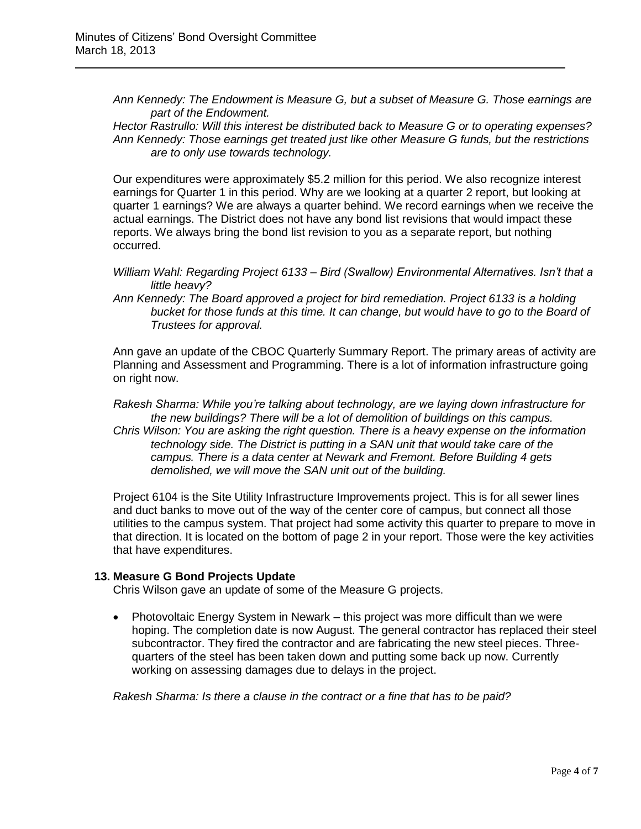*Ann Kennedy: The Endowment is Measure G, but a subset of Measure G. Those earnings are part of the Endowment.* 

*Hector Rastrullo: Will this interest be distributed back to Measure G or to operating expenses? Ann Kennedy: Those earnings get treated just like other Measure G funds, but the restrictions are to only use towards technology.* 

Our expenditures were approximately \$5.2 million for this period. We also recognize interest earnings for Quarter 1 in this period. Why are we looking at a quarter 2 report, but looking at quarter 1 earnings? We are always a quarter behind. We record earnings when we receive the actual earnings. The District does not have any bond list revisions that would impact these reports. We always bring the bond list revision to you as a separate report, but nothing occurred.

- *William Wahl: Regarding Project 6133 – Bird (Swallow) Environmental Alternatives. Isn't that a little heavy?*
- *Ann Kennedy: The Board approved a project for bird remediation. Project 6133 is a holding bucket for those funds at this time. It can change, but would have to go to the Board of Trustees for approval.*

Ann gave an update of the CBOC Quarterly Summary Report. The primary areas of activity are Planning and Assessment and Programming. There is a lot of information infrastructure going on right now.

*Rakesh Sharma: While you're talking about technology, are we laying down infrastructure for the new buildings? There will be a lot of demolition of buildings on this campus. Chris Wilson: You are asking the right question. There is a heavy expense on the information technology side. The District is putting in a SAN unit that would take care of the campus. There is a data center at Newark and Fremont. Before Building 4 gets demolished, we will move the SAN unit out of the building.* 

Project 6104 is the Site Utility Infrastructure Improvements project. This is for all sewer lines and duct banks to move out of the way of the center core of campus, but connect all those utilities to the campus system. That project had some activity this quarter to prepare to move in that direction. It is located on the bottom of page 2 in your report. Those were the key activities that have expenditures.

# **13. Measure G Bond Projects Update**

Chris Wilson gave an update of some of the Measure G projects.

 Photovoltaic Energy System in Newark – this project was more difficult than we were hoping. The completion date is now August. The general contractor has replaced their steel subcontractor. They fired the contractor and are fabricating the new steel pieces. Threequarters of the steel has been taken down and putting some back up now. Currently working on assessing damages due to delays in the project.

*Rakesh Sharma: Is there a clause in the contract or a fine that has to be paid?*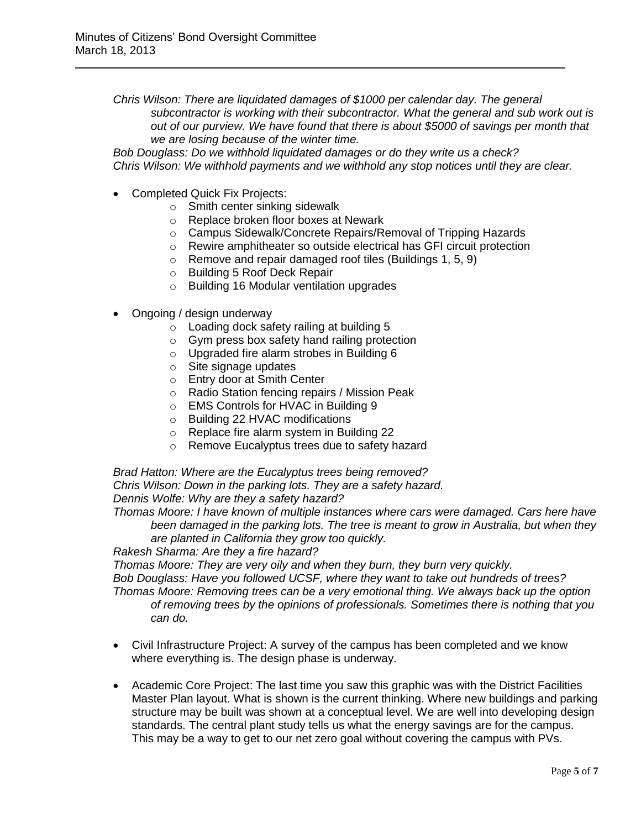*Chris Wilson: There are liquidated damages of \$1000 per calendar day. The general subcontractor is working with their subcontractor. What the general and sub work out is out of our purview. We have found that there is about \$5000 of savings per month that we are losing because of the winter time.* 

*Bob Douglass: Do we withhold liquidated damages or do they write us a check? Chris Wilson: We withhold payments and we withhold any stop notices until they are clear.* 

- Completed Quick Fix Projects:
	- o Smith center sinking sidewalk
	- o Replace broken floor boxes at Newark
	- o Campus Sidewalk/Concrete Repairs/Removal of Tripping Hazards
	- o Rewire amphitheater so outside electrical has GFI circuit protection
	- o Remove and repair damaged roof tiles (Buildings 1, 5, 9)
	- o Building 5 Roof Deck Repair
	- o Building 16 Modular ventilation upgrades
- Ongoing / design underway
	- o Loading dock safety railing at building 5
	- o Gym press box safety hand railing protection
	- o Upgraded fire alarm strobes in Building 6
	- o Site signage updates
	- o Entry door at Smith Center
	- o Radio Station fencing repairs / Mission Peak
	- o EMS Controls for HVAC in Building 9
	- o Building 22 HVAC modifications
	- o Replace fire alarm system in Building 22
	- o Remove Eucalyptus trees due to safety hazard

*Brad Hatton: Where are the Eucalyptus trees being removed? Chris Wilson: Down in the parking lots. They are a safety hazard. Dennis Wolfe: Why are they a safety hazard?* 

*Thomas Moore: I have known of multiple instances where cars were damaged. Cars here have been damaged in the parking lots. The tree is meant to grow in Australia, but when they are planted in California they grow too quickly.* 

*Rakesh Sharma: Are they a fire hazard?*

*Thomas Moore: They are very oily and when they burn, they burn very quickly.*

*Bob Douglass: Have you followed UCSF, where they want to take out hundreds of trees? Thomas Moore: Removing trees can be a very emotional thing. We always back up the option of removing trees by the opinions of professionals. Sometimes there is nothing that you can do.* 

- Civil Infrastructure Project: A survey of the campus has been completed and we know where everything is. The design phase is underway.
- Academic Core Project: The last time you saw this graphic was with the District Facilities Master Plan layout. What is shown is the current thinking. Where new buildings and parking structure may be built was shown at a conceptual level. We are well into developing design standards. The central plant study tells us what the energy savings are for the campus. This may be a way to get to our net zero goal without covering the campus with PVs.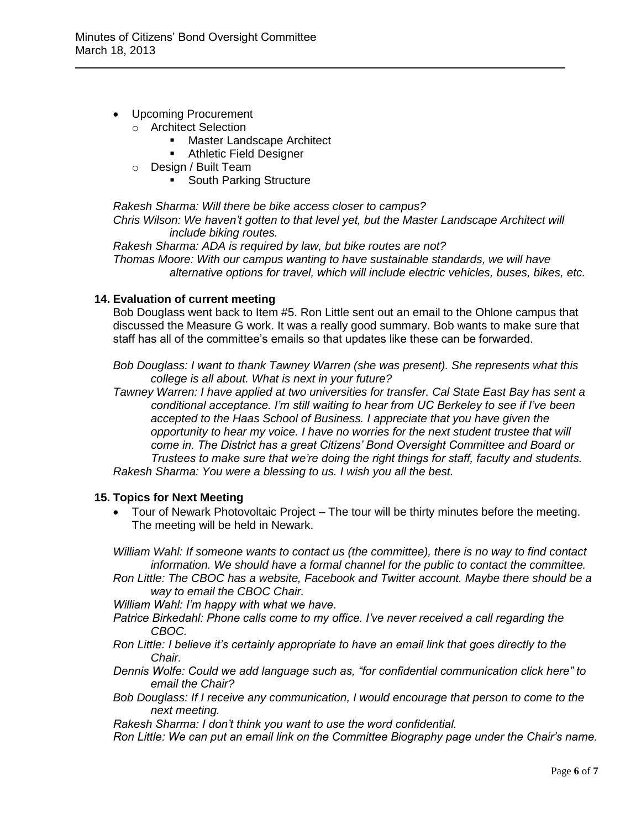- Upcoming Procurement
	- o Architect Selection
		- **Master Landscape Architect**
		- **Athletic Field Designer**
	- o Design / Built Team
		- **South Parking Structure**

*Rakesh Sharma: Will there be bike access closer to campus?* 

*Chris Wilson: We haven't gotten to that level yet, but the Master Landscape Architect will include biking routes.* 

*Rakesh Sharma: ADA is required by law, but bike routes are not? Thomas Moore: With our campus wanting to have sustainable standards, we will have alternative options for travel, which will include electric vehicles, buses, bikes, etc.* 

## **14. Evaluation of current meeting**

Bob Douglass went back to Item #5. Ron Little sent out an email to the Ohlone campus that discussed the Measure G work. It was a really good summary. Bob wants to make sure that staff has all of the committee's emails so that updates like these can be forwarded.

*Bob Douglass: I want to thank Tawney Warren (she was present). She represents what this college is all about. What is next in your future?* 

*Tawney Warren: I have applied at two universities for transfer. Cal State East Bay has sent a conditional acceptance. I'm still waiting to hear from UC Berkeley to see if I've been accepted to the Haas School of Business. I appreciate that you have given the opportunity to hear my voice. I have no worries for the next student trustee that will come in. The District has a great Citizens' Bond Oversight Committee and Board or Trustees to make sure that we're doing the right things for staff, faculty and students. Rakesh Sharma: You were a blessing to us. I wish you all the best.* 

### **15. Topics for Next Meeting**

 Tour of Newark Photovoltaic Project – The tour will be thirty minutes before the meeting. The meeting will be held in Newark.

*William Wahl: If someone wants to contact us (the committee), there is no way to find contact information. We should have a formal channel for the public to contact the committee.* 

*Ron Little: The CBOC has a website, Facebook and Twitter account. Maybe there should be a way to email the CBOC Chair.* 

*William Wahl: I'm happy with what we have.* 

- *Patrice Birkedahl: Phone calls come to my office. I've never received a call regarding the CBOC.*
- *Ron Little: I believe it's certainly appropriate to have an email link that goes directly to the Chair.*
- *Dennis Wolfe: Could we add language such as, "for confidential communication click here" to email the Chair?*
- *Bob Douglass: If I receive any communication, I would encourage that person to come to the next meeting.*

*Rakesh Sharma: I don't think you want to use the word confidential.* 

*Ron Little: We can put an email link on the Committee Biography page under the Chair's name.*